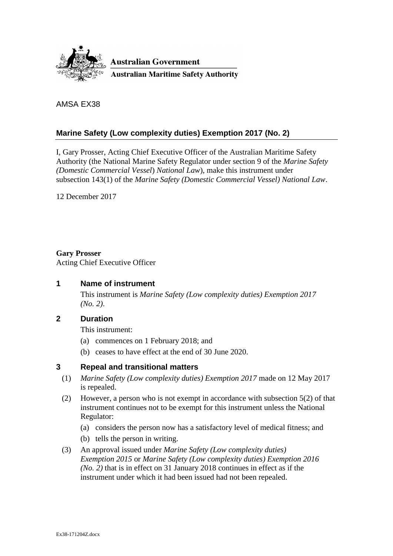

AMSA EX38

### **Marine Safety (Low complexity duties) Exemption 2017 (No. 2)**

I, Gary Prosser, Acting Chief Executive Officer of the Australian Maritime Safety Authority (the National Marine Safety Regulator under section 9 of the *Marine Safety (Domestic Commercial Vessel*) *National Law*), make this instrument under subsection 143(1) of the *Marine Safety (Domestic Commercial Vessel) National Law*.

12 December 2017

#### **Gary Prosser**

Acting Chief Executive Officer

### **1 Name of instrument**

This instrument is *Marine Safety (Low complexity duties) Exemption 2017 (No. 2)*.

### **2 Duration**

This instrument:

- (a) commences on 1 February 2018; and
- (b) ceases to have effect at the end of 30 June 2020.

### **3 Repeal and transitional matters**

- (1) *Marine Safety (Low complexity duties) Exemption 2017* made on 12 May 2017 is repealed.
- (2) However, a person who is not exempt in accordance with subsection 5(2) of that instrument continues not to be exempt for this instrument unless the National Regulator:
	- (a) considers the person now has a satisfactory level of medical fitness; and
	- (b) tells the person in writing.
- (3) An approval issued under *Marine Safety (Low complexity duties) Exemption 2015* or *Marine Safety (Low complexity duties) Exemption 2016 (No. 2)* that is in effect on 31 January 2018 continues in effect as if the instrument under which it had been issued had not been repealed.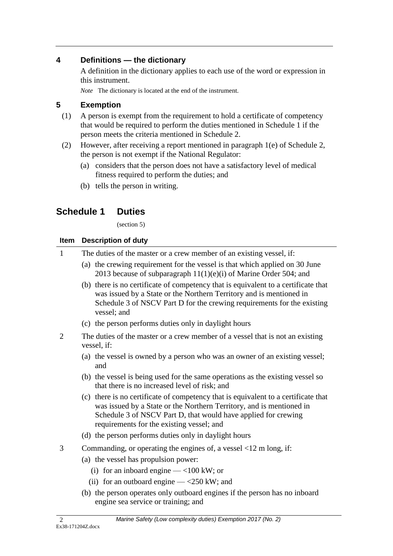## **4 Definitions — the dictionary**

A definition in the dictionary applies to each use of the word or expression in this instrument.

*Note* The dictionary is located at the end of the instrument.

### **5 Exemption**

- (1) A person is exempt from the requirement to hold a certificate of competency that would be required to perform the duties mentioned in Schedule 1 if the person meets the criteria mentioned in Schedule 2.
- (2) However, after receiving a report mentioned in paragraph 1(e) of Schedule 2, the person is not exempt if the National Regulator:
	- (a) considers that the person does not have a satisfactory level of medical fitness required to perform the duties; and
	- (b) tells the person in writing.

# **Schedule 1 Duties**

(section 5)

### **Item Description of duty**

| $\mathbf{1}$   | The duties of the master or a crew member of an existing vessel, if:                                                                                                                                                                                                      |
|----------------|---------------------------------------------------------------------------------------------------------------------------------------------------------------------------------------------------------------------------------------------------------------------------|
|                | (a) the crewing requirement for the vessel is that which applied on 30 June<br>2013 because of subparagraph $11(1)(e)(i)$ of Marine Order 504; and                                                                                                                        |
|                | (b) there is no certificate of competency that is equivalent to a certificate that<br>was issued by a State or the Northern Territory and is mentioned in<br>Schedule 3 of NSCV Part D for the crewing requirements for the existing<br>vessel; and                       |
|                | (c) the person performs duties only in daylight hours                                                                                                                                                                                                                     |
| $\overline{2}$ | The duties of the master or a crew member of a vessel that is not an existing<br>vessel, if:                                                                                                                                                                              |
|                | (a) the vessel is owned by a person who was an owner of an existing vessel;<br>and                                                                                                                                                                                        |
|                | (b) the vessel is being used for the same operations as the existing vessel so<br>that there is no increased level of risk; and                                                                                                                                           |
|                | (c) there is no certificate of competency that is equivalent to a certificate that<br>was issued by a State or the Northern Territory, and is mentioned in<br>Schedule 3 of NSCV Part D, that would have applied for crewing<br>requirements for the existing vessel; and |
|                | (d) the person performs duties only in daylight hours                                                                                                                                                                                                                     |
| 3              | Commanding, or operating the engines of, a vessel $\langle 12 \text{ m} \log n \rangle$ if:                                                                                                                                                                               |
|                | (a) the vessel has propulsion power:                                                                                                                                                                                                                                      |
|                | (i) for an inboard engine $-$ <100 kW; or                                                                                                                                                                                                                                 |
|                | (ii) for an outboard engine $-$ <250 kW; and                                                                                                                                                                                                                              |
|                | (b) the person operates only outboard engines if the person has no inboard<br>engine sea service or training; and                                                                                                                                                         |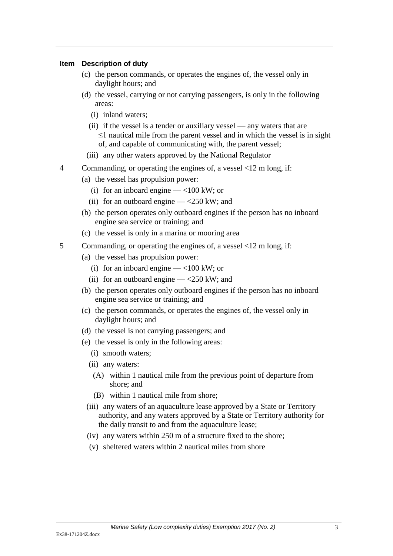#### **Item Description of duty**

- (c) the person commands, or operates the engines of, the vessel only in daylight hours; and
- (d) the vessel, carrying or not carrying passengers, is only in the following areas:
	- (i) inland waters;
	- (ii) if the vessel is a tender or auxiliary vessel any waters that are ≤1 nautical mile from the parent vessel and in which the vessel is in sight of, and capable of communicating with, the parent vessel;
	- (iii) any other waters approved by the National Regulator
- 4 Commanding, or operating the engines of, a vessel <12 m long, if:
	- (a) the vessel has propulsion power:
		- (i) for an inboard engine  $-$  <100 kW; or
		- (ii) for an outboard engine  $-\langle 250 \text{ kW} \rangle$ ; and
	- (b) the person operates only outboard engines if the person has no inboard engine sea service or training; and
	- (c) the vessel is only in a marina or mooring area
- 5 Commanding, or operating the engines of, a vessel <12 m long, if:
	- (a) the vessel has propulsion power:
		- (i) for an inboard engine  $-$  <100 kW; or
		- (ii) for an outboard engine  $-\langle 250 \text{ kW} \rangle$ ; and
	- (b) the person operates only outboard engines if the person has no inboard engine sea service or training; and
	- (c) the person commands, or operates the engines of, the vessel only in daylight hours; and
	- (d) the vessel is not carrying passengers; and
	- (e) the vessel is only in the following areas:
		- (i) smooth waters;
		- (ii) any waters:
			- (A) within 1 nautical mile from the previous point of departure from shore; and
			- (B) within 1 nautical mile from shore;
		- (iii) any waters of an aquaculture lease approved by a State or Territory authority, and any waters approved by a State or Territory authority for the daily transit to and from the aquaculture lease;
		- (iv) any waters within 250 m of a structure fixed to the shore;
		- (v) sheltered waters within 2 nautical miles from shore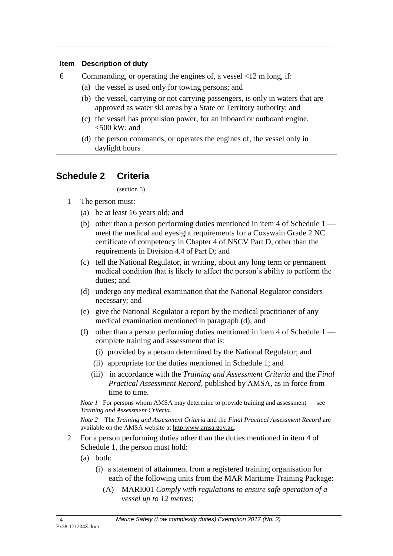#### **Item Description of duty**

| 6 | Commanding, or operating the engines of, a vessel $\langle 12 \text{ m} \log n \rangle$ if:                                                           |
|---|-------------------------------------------------------------------------------------------------------------------------------------------------------|
|   | (a) the vessel is used only for towing persons; and                                                                                                   |
|   | (b) the vessel, carrying or not carrying passengers, is only in waters that are<br>approved as water ski areas by a State or Territory authority; and |
|   | (c) the vessel has propulsion power, for an inboard or outboard engine,<br>$<$ 500 kW; and                                                            |
|   | (d) the person commands, or operates the engines of, the vessel only in<br>daylight hours                                                             |

## **Schedule 2 Criteria**

(section 5)

- 1 The person must:
	- (a) be at least 16 years old; and
	- (b) other than a person performing duties mentioned in item 4 of Schedule 1 meet the medical and eyesight requirements for a Coxswain Grade 2 NC certificate of competency in Chapter 4 of NSCV Part D, other than the requirements in Division 4.4 of Part D; and
	- (c) tell the National Regulator, in writing, about any long term or permanent medical condition that is likely to affect the person's ability to perform the duties; and
	- (d) undergo any medical examination that the National Regulator considers necessary; and
	- (e) give the National Regulator a report by the medical practitioner of any medical examination mentioned in paragraph (d); and
	- (f) other than a person performing duties mentioned in item 4 of Schedule  $1$ complete training and assessment that is:
		- (i) provided by a person determined by the National Regulator; and
		- (ii) appropriate for the duties mentioned in Schedule 1; and
		- (iii) in accordance with the *Training and Assessment Criteria* and the *Final Practical Assessment Record,* published by AMSA, as in force from time to time.

*Note 1* For persons whom AMSA may determine to provide training and assessment — see *Training and Assessment Criteria.*

*Note 2* The *Training and Assessment Criteria* and the *Final Practical Assessment Record* are available on the AMSA website at http:www.amsa.gov.au.

- 2 For a person performing duties other than the duties mentioned in item 4 of Schedule 1, the person must hold:
	- (a) both:
		- (i) a statement of attainment from a registered training organisation for each of the following units from the MAR Maritime Training Package:
			- (A) MARI001 *Comply with regulations to ensure safe operation of a vessel up to 12 metres*;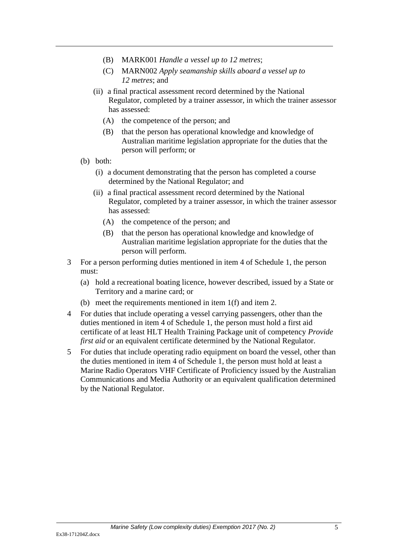- (B) MARK001 *Handle a vessel up to 12 metres*;
- (C) MARN002 *Apply seamanship skills aboard a vessel up to 12 metres*; and
- (ii) a final practical assessment record determined by the National Regulator, completed by a trainer assessor, in which the trainer assessor has assessed:
	- (A) the competence of the person; and
	- (B) that the person has operational knowledge and knowledge of Australian maritime legislation appropriate for the duties that the person will perform; or
- (b) both:
	- (i) a document demonstrating that the person has completed a course determined by the National Regulator; and
	- (ii) a final practical assessment record determined by the National Regulator, completed by a trainer assessor, in which the trainer assessor has assessed:
		- (A) the competence of the person; and
		- (B) that the person has operational knowledge and knowledge of Australian maritime legislation appropriate for the duties that the person will perform.
- 3 For a person performing duties mentioned in item 4 of Schedule 1, the person must:
	- (a) hold a recreational boating licence, however described, issued by a State or Territory and a marine card; or
	- (b) meet the requirements mentioned in item 1(f) and item 2.
- 4 For duties that include operating a vessel carrying passengers, other than the duties mentioned in item 4 of Schedule 1, the person must hold a first aid certificate of at least HLT Health Training Package unit of competency *Provide first aid* or an equivalent certificate determined by the National Regulator.
- 5 For duties that include operating radio equipment on board the vessel, other than the duties mentioned in item 4 of Schedule 1, the person must hold at least a Marine Radio Operators VHF Certificate of Proficiency issued by the Australian Communications and Media Authority or an equivalent qualification determined by the National Regulator.